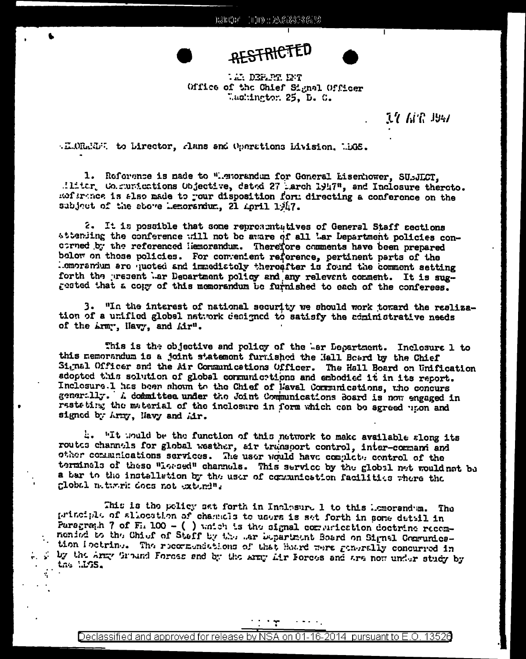

# **AESTRICTED**



**17 APR 4947** 

.E.OR.EUR to Lirector, Aans and Operations Livision. LEGS.

1. Reference is made to "Memorandum for General Lisenhower, SUBJLCT, .ilitar Communications Objective, dated 27 march 1947", and Inclosure thereto. nof grance is also made to your disposition form directing a conference on the subject of the above Lemorandum, 21 April 1947.

2. It is possible that some representatives of General Staff sections attending the conference will not be aware of all Lar Department policies concorned by the referenced liemorandum. Therefore comments have been prepared below on those policies. For convenient reference, pertinent parts of the . cmoranium are quoted and immediately thereafter is found the comment setting forth the present Lar Department policy and any relevent comment. It is suggested that a copy of this memorandum be furnished to each of the conferees.

3. "In the interest of national security we should work toward the reslization of a unified global network designed to satisfy the administrative needs of the *hrm*", Havy, and *hir"*.

This is the objective and policy of the Ler Department. Inclosure 1 to this memorandum is a joint statemont furnished the Hall Board by the Chief Signal Officer and the Air Communications Officer. The Hall Board on Unification adopted this solution of global communictions and embodied it in its report. Inclosure. 1 has been shown to the Chief of Haval Communications, the concurs generally. A committee under the Joint Communications Board is now engaged in restating the material of the inclosure in form which can be agreed upon and signed by Army, Navy and Air.

t. "It would be the function of this network to make available slong its routes channels for global weather, air transport control, inter-command and other communications services. The user would have complete control of the terminals of these "Lorsed" channels. This service by the global net would not be a bar to the installation by the user of communication facilities where the global network does not extend ".

This is the policy set forth in Inclesure 1 to this ismorandum. The principle of allocation of channels to users is set forth in some detail in Paragraph 7 of F. 100 - () which is the signal communication doctrine recemnenied to the Chief of Steff by the sar bepartment Board on Signal Communication loctring. The recommendations of that Hoard were generally concurred in . . by the Army Ground Foress and by the Army Lir Porces and are now under study by the LCS.

> Declassified and approved for release SA on 01-16-2014 pursuant to E.O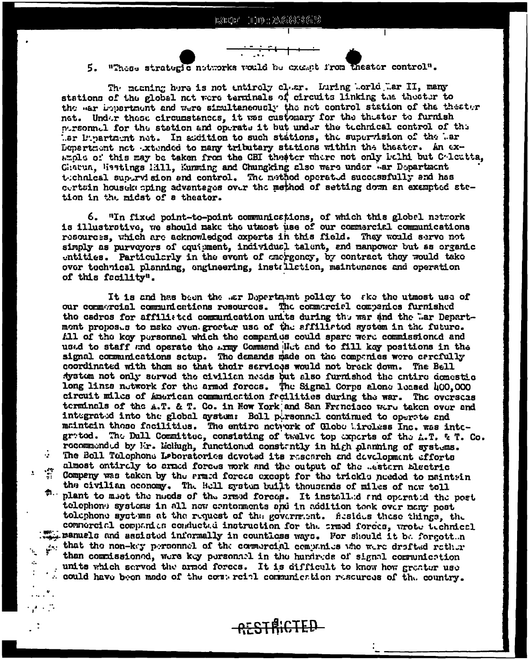### "These strategic notworks would be exempt from theater control".

The mooning here is not entiroly clear. Luring Lorld Lar II, many stations of the global net were terminals of circuits linking the theater to the war bepartment and were simultaneously the net control station of the theater net. Under these circumstances, it was customary for the theater to furnish nursonnul for the station and operate it but under the technical control of the ler lipertmint net. In addition to such stations, the supervision of the lar Department not extended to many tributary stations within the theater. An example of this may be taken from the CBI theater where not only belhi but Colectia, Chatua, Westings Hill, Kunming and Chungking also were under war Department technical supervision and control. The mathod operated successfully and has certsin housekeeping advantages over the method of setting down an exampted stetion in the midst of a theater.

6. "In fixed point-to-point communications, of which this global natwork is illustrative, we should make the utmost use of our commercial communications resources, which are acknowledged experts in this field. They would serve not simply as purveyors of equipment, individual talent, and manpower but as organic entities. Particularly in the event of anargoncy, by contract they would take over technical planning, engineering, installation, maintenance and operation of this facility".

It is and has been the .ar Department policy to ske the utmost use of our commercial communications resources. The commercial companies furnished the cadres for affiliated communication units during the war and the "ar Departmont proposes to make even greater use of the affiliated system in the future. All of the koy personnel which the companies could spare were commissioned and used to staff and operate the army Command Het and to fill key positions in the signal communications sctup. The demands made on the companies were carefully coordinated with them so that their services would not break down. The Bell system not only served the civilian needs but also furnished the entire domestic long linss nutwork for the armod forces. The Signal Corps alone leased 400,000 circuit miles of American communication facilities during the war. The overseas terminals of the A.T. & T. Co. in New York and San Francisco were taken over and integrated into the global system: Boll personnel continued to operate and maintain those facilities. The entire network of Globe Lireless Inc. was integrated. The Dull Committee, consisting of twelve top experts of the A.T. & T. Co. recommended by Mr. Meliugh, functioned constantly in high planning of systems. The Boll Tolophone Laboratories devoted its research and development efforts **Participant** almost ontirely to armed forces work and the output of the .estern Electric the company was taken by the stand forces except for the trickle needed to maintain the civilian oconomy. The Bell system built thousands of miles of now toll #. plant to msot the nucds of the srmod forces. It installed and operated the post telephone systems in all now centerments and in addition took over namy nost tolephone systems at the request of the governeent. Sesides these things, the commercial companies conducted instruction for the srmed forces, wrote technical manuels and assisted informally in countless ways. For should it by forgott n that the non-key personnel of the commercial companies who were drafted rether than commissioned, were key personabl in the hurdreds of signal communication units which served the armed forces. It is difficult to know how greater use . could have been made of the commercial communication resources of the country.

 $\Delta$ 

ć.

-RESTRICTED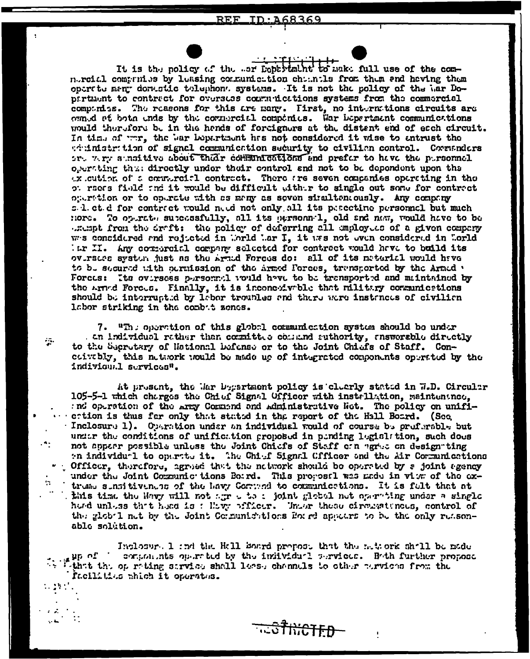#### REF\_ ID:A68369

It is the policy of the ear Debartmunt to make full use of the commoreial communics by loasing communication channels from them and having them opertte ment donestic telephone systems. It is not the policy of the har Dopartment to contract for oversess communications systems from the commercial comparies. The reasons for this are many. First, no intermations circuits are owned at both ends by the cornercial companies. War bepartment communications would therefore be in the hands of foreigners at the distant and of each circuit. In time of war, the bar bepartment has not considered it wise to entrust the timistrition of signal communication security to civilian control. Corranders or. w.r. sunsitive about their communications and prefer to have the pursonnel operting thus directly under their control and not to be dependent upon the ax cution of a connurcial contract. There are seven companies operating in the ot reeds field the it would be difficult withir to single out some for contract operation or to operate with as many as seven simultaneously. Any company s. 1. et. d for contract would need not only all its pesectine personnel but much Hord. To optrate superssfully, all its personnel, old and new, would have to be exempt from the draft: the policy of deferring all employees of a given company was considered and rejected in World Mar I, it was not even considered in World iar II. Any correreial company selected for contract would have to build its ovirsies system just as the Armed Forces do: all of its material would have to be secured with permission of the armed Forces, transported by the Armed . Forces: Its oversess personnel would have to be transported and maintained by the Armed Forces. Finally, it is inconexivable that military communications should be interrupted by labor troubles and there were instances of civilian labor striking in the combat zenes.

7.  $\mathbb{R}^n$ : operation of this global communication system should be under . an individual rather than committee command suthority, answersble directly to the Secretary of National Defense or to the Joint Chiefs of Staff. Concoivably, this natuork would be made up of integrated components operated by the individual services".

 $\sim$ 

٠.

25

At present, the Mar Department policy is clearly stated in W.D. Circular 105-5-1 which charges the Chief Signal Officer with installation, maintenance, : nd operation of the Arry Commend and Administrative Not. The policy on unifiction is thus far only that stated in the report of the Hall Board. (See Inclosure 1). Operation under an individual would of course be preferable but under the conditions of unification proposed in pending legislation, such does not appear possible unless the Joint Chiefs of Staff on agree on designating an individual to operate it. The Chief Signal Officer and the Air Communications Cfficer, therefore, agreed that the network should be operated by a joint agency under the Joint Communic tions Boird. This proposel was made in view of the extread sunsitiveness of the havy Commond to communications. It is fult that at this time the Havy will not agree to : joint global net operating under a single herd unless that head is: How pfficer. Under these circumstances, control of the global net by the Joint Communications for respective to be the only reasonable solution.

Inclosur. 1 and the Hall Board propose that the network shall be made  $\mu_{\rm P}$  of  $^{-1}$ compositions on mated by the individual services. Bath further propose Withit this operating strvies shall lease channels to other pervisos from the facilities which it operates.

<del>hicten</del>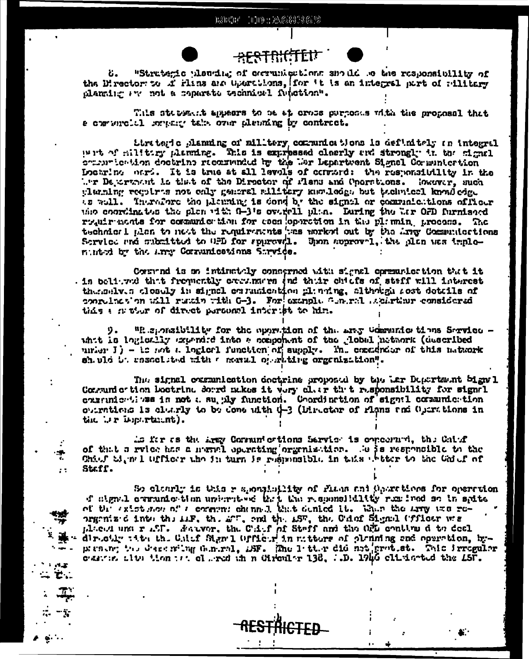

Ť

x,

**Sales**  $\sim$  Z..

 $\mathbf{r}$ 

## <del>\*FSTRICTEN</del>

"Strutenic planting of corrunications another or the responsibility of ΰ. the Director to if rins are Gourttlons, for 't is an interrel sert of rilitary planting are not a coparate technical function".

This statement appears to be at cross purposes with the proposal that a correncial somethy take over alemning by contract.

Strategic planning of military communications is definitely an integral wit of militing planning. This is expressed closrly and strongly in the signal communication doctrine ricomunded by the Lar Lepartment Signal Communication Locaring ours. It is true at all levels of content the responsibility in the the Department is that of the Director of Plans and Cherations. However, such glander regions not ealy general allitery kanded at the body completed as well. Therefore the plenning is dond by the signal or communications officer the coordinates the plen with 0-3's overtell plan. Euring the Ler OFD furnished routrements for communication for escaloperation in the planning process. The technical plan to nest the requirements ses morked out by the sing Commutactions Service and submitted to GD for sparewil. Upon approval, the plan was impleminted by the arry Cornunications Sarvice.

Commond is an intimately conserned with signal opresuriestion that it . is believed that frequently exerinates and their chiefs of staff will interest thereshy a closely in signal our materition planting, although rest details of conrelates on will runder with G-3. For example General stearther considered this a natur of direct personal interist to him.

"Responsibility for the operation of the arey Communic tions Service. 9. whit is logically expended into a component of the global network (described unier I) - is not a logiorl function of supply. The conductor of this naturek sh uld b. rasaclited with a meril of rating organization".

The signal examination decirine proposed by the Lar Department Signal Contumiertion boetring dourd makes it very clar that responsibility for signal courrinientlyss is not a suggly function. Coordination of signal cornamication outrations is clutrly to be done with  $\psi$ -3 (Director of rights and Operations in the Ler Department).

If res the Aray Cornum ortions Service is concerned, the Caiof of that a rylee has a meand operating organization. So is responsible to the Chief M, m I Officer the in turn is responsible in this ebiter to the Chief of Staff.

So classif is this reportibility of flass and Operations for operation d'alguel comunication unierative that the responsibility remined so in spits of the existence of a comment channel that denied it. When the stray was reorgenized into the LiF, the LT, and the LST, the Ceinf Signal (ffloor we placed und r aff. Naturer, the Cair of Staff and the OFL continued to deal directly title the Calof Sign'l Officer in matters of plenning and operation, bypresent the describing deniral, iSF. The 1 tter did not gratest. This irregular constant about the part of medicing of the clients of the control of the LSF.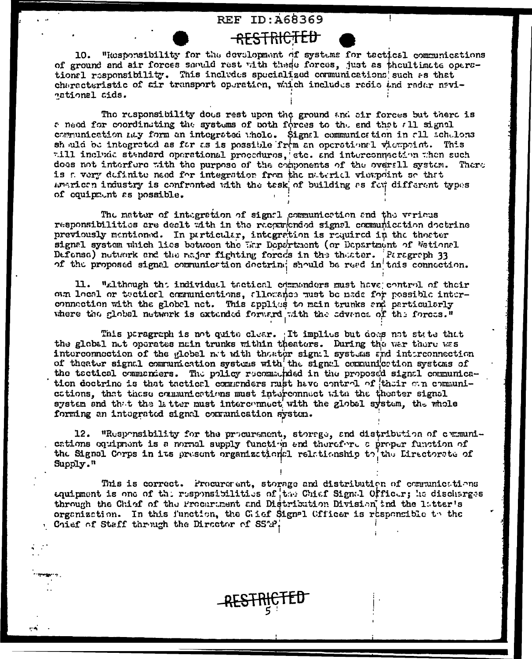## **REF ID: 468369**

<del>-RESTRICTED</del>

10. "Responsibility for the development of systems for tactical communications of ground and air forces saculd rest with these forces, just as theultimate operational responsibility. This includes specialized communications such as that characteristic of air transport operation, which includes radio and radar navinational sids.

The responsibility does rest upon the ground and cir forces but there is a need for coordinating the systems of both forces to the end that all signal communication may form an integrated whole. Signal communication in all schulons should be integrated as far as is possible from an operational viewpoint. This will include standard operational procedures, etc. and interconnection when such does not interfere with the purpose of the components of the overall system. There is a very definite need for integration from the material vierpoint so that american industry is confronted with the tesk of building as for different types of couipment as possible.

The matter of integration of signal communication and the various responsibilities are dealt with in the reconsended signal communication doctrine previously mentioned. In particular, integration is required in the theoter signal system which lies between the War Department (or Department of Wational Defense) network and the rajor fighting forces in the theoter. Persgraph 33 of the proposed signal communication doctrine should be read in this connection.

11. "although the individual tactionl commonders must have control of their oun local or tectical communications, allocance must be nade for possible interconnection with the globel net. This applies to main trunks and particularly where the global network is extended forward with the edvence of the forces."

This peragraph is not quite clear. It implies but does not state that the global net operates main trunks within theaters. During the war there was interconnection of the global net with thestor sign:1 systems and interconnection of theater signal communication systems with the signal communication systems of the tectical commencers. The policy recommended in the proposed signal communication doctrine is that tactical commenders rust have control of their own communiestions, that these communications must interconnect with the theater signal system and that the latter must interconnect with the global system, the whole forming an integrated signal contamication system.

12. "Responsibility for the procurement, storage, and distribution of communications equipment is a normal supply function and therefore a proper function of the Signal Corps in its present organizational relationship to the Lirectorate of Supply."

This is correct. Procurerent, storage and distribution of communications equipment is one of the responsibilities of the Chief Signal Officer; he discharges through the Chief of the Procurament and Distribution Division ind the 1atter's organization. In this function, the Cief Signal Officer is responsible to the Chief of Staff through the Director of SSAP.

 $\sim$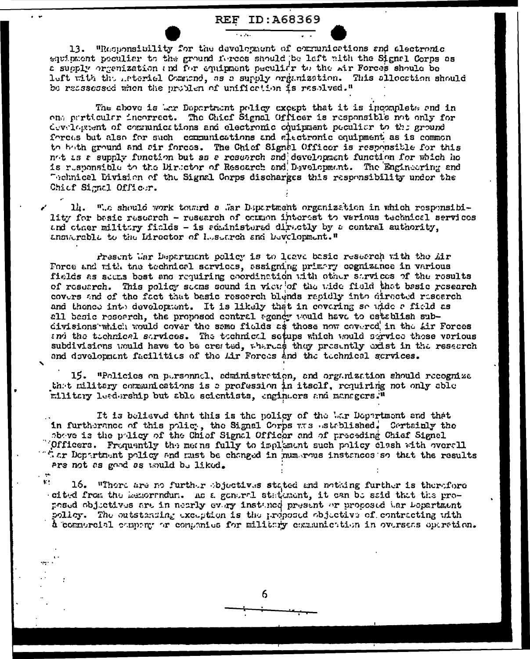## **REF ID: A68369**

13. "Responsibility for the development of communications and alectronic equipment peculier to the ground forces should be left with the Signal Corps as a supply organization and for equipment peculidr to the sir Forces should be left with the interiel Command, as a supply organization. This allocation should be reassessed when the problem of unification is resolved."

The above is Anr Department policy except that it is incomplete and in one perticular incorrect. The Chief Signal Officer is responsible not only for develogeent of communications and electronic continuant peculiar to the ground forces but also for such communications and alectronic equipment as is common to both ground and sir forces. The Chief Signal Officer is responsible for this not as a supply function but as a research and development function for which he is responsible to the Director of Research and Development. The Engineering and Technical Division of the Signal Corps discharges this resonnsibility under the Chief Signal Officer.

14. ".c should work toward a .ar Department organization in which responsibility for basic research - research of common interest to various technical services and other military fields - is soministered diractly by a contral authority, answerable to the Director of Lesearch and Development."

Present War Department policy is to leave basic research with the Air Force and with the technical services, assigning primary cognizance in various fields as seems best and requiring coordination with other sarvices of the results of resuarch. This policy seems sound in view of the wide field that basic research covers and of the fact that basic research blends rapidly into directed research and thence into development. It is likely that in covering so wide a field as all basic research, the proposed central agency would have to establish subdivisions which would cover the same fields as those now covered in the Air Forces and the tochnical services. The tochnical setups which would service these various subdivisions would have to be created, whereas they presently exist in the research and development facilities of the Lir Forces and the technical services.

15. "Policies on pursonnel, edministration, and organization should recognize that military communications is a profession in itself, requiring not only able military leadership but able scientists, engineers and managers."

It is believed that this is the policy of the War Department and that in furtherance of this policy, the Signal Corps was astablished. Cortainly the above is the policy of the Chief Signal Officer and of preceding Chief Signal Officers. Frequently the means fully to implement such policy clash with overall " or Department policy and must be changed in mumerous instances so that the results are not as good as would be liked.

 $\mathbf{V}$  . 16. "There are no further objectives stated and nothing further is therefore oited from the memorradur. As a general statement, it can be said that the propesed objectives are in nearly every instance present or proposed har bepartment policy. The outstanding exception is the proposed objective of contracting with a commercial company or companies for military communication in overseas operation.

6